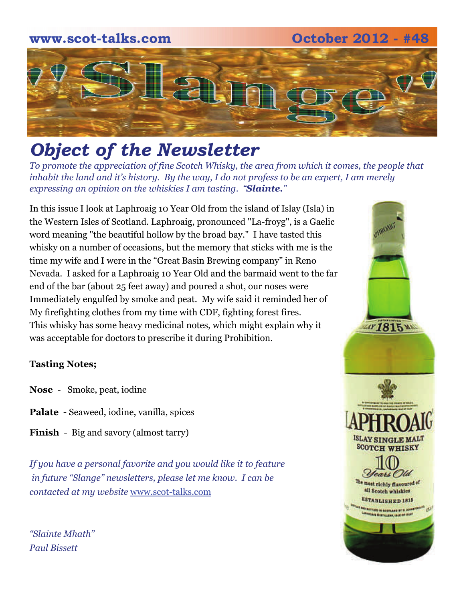## **www.scot-talks.com October 2012 - #48** [2]

### *Object of the Newsletter*

*To promote the appreciation of fine Scotch Whisky, the area from which it comes, the people that inhabit the land and it's history. By the way, I do not profess to be an expert, I am merely expressing an opinion on the whiskies I am tasting. "Slainte."* 

In this issue I look at Laphroaig 10 Year Old from the island of Islay (Isla) in the Western Isles of Scotland. Laphroaig, pronounced "La-froyg", is a Gaelic word meaning "the beautiful hollow by the broad bay." I have tasted this whisky on a number of occasions, but the memory that sticks with me is the time my wife and I were in the "Great Basin Brewing company" in Reno Nevada. I asked for a Laphroaig 10 Year Old and the barmaid went to the far end of the bar (about 25 feet away) and poured a shot, our noses were Immediately engulfed by smoke and peat. My wife said it reminded her of My firefighting clothes from my time with CDF, fighting forest fires. This whisky has some heavy medicinal notes, which might explain why it was acceptable for doctors to prescribe it during Prohibition.

#### **Tasting Notes;**

- **Nose**  Smoke, peat, iodine
- **Palate**  Seaweed, iodine, vanilla, spices
- **Finish**  Big and savory (almost tarry)

*If you have a personal favorite and you would like it to feature in future "Slange" newsletters, please let me know. I can be contacted at my website* [www.scot-talks.com](http://www.scot-talks.com/default.html)

*"Slainte Mhath" Paul Bissett*

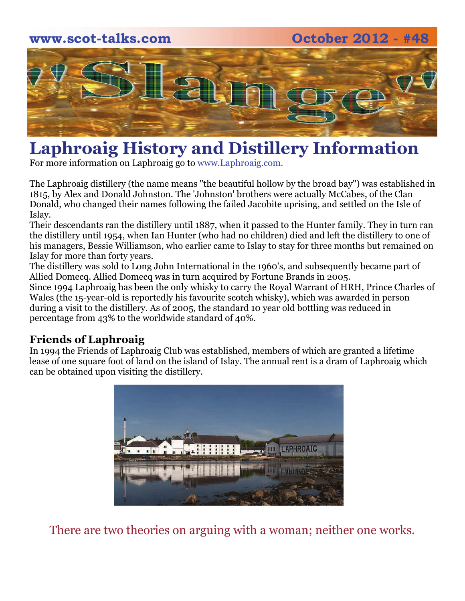# **www.scot-talks.com October 2012 - #48**  $\geq$

### **Laphroaig History and Distillery Information**

For more information on Laphroaig go to www.Laphroaig.com.

The Laphroaig distillery (the name means "the beautiful hollow by the broad bay") was established in 1815, by Alex and Donald Johnston. The 'Johnston' brothers were actually McCabes, of the Clan Donald, who changed their names following the failed Jacobite uprising, and settled on the Isle of Islay.

Their descendants ran the distillery until 1887, when it passed to the Hunter family. They in turn ran the distillery until 1954, when Ian Hunter (who had no children) died and left the distillery to one of his managers, Bessie Williamson, who earlier came to Islay to stay for three months but remained on Islay for more than forty years.

The distillery was sold to Long John International in the 1960's, and subsequently became part of Allied Domecq. Allied Domecq was in turn acquired by Fortune Brands in 2005.

Since 1994 Laphroaig has been the only whisky to carry the Royal Warrant of HRH, Prince Charles of Wales (the 15-year-old is reportedly his favourite scotch whisky), which was awarded in person during a visit to the distillery. As of 2005, the standard 10 year old bottling was reduced in percentage from 43% to the worldwide standard of 40%.

#### **Friends of Laphroaig**

In 1994 the Friends of Laphroaig Club was established, members of which are granted a lifetime lease of one square foot of land on the island of Islay. The annual rent is a dram of Laphroaig which can be obtained upon visiting the distillery.



There are two theories on arguing with a woman; neither one works.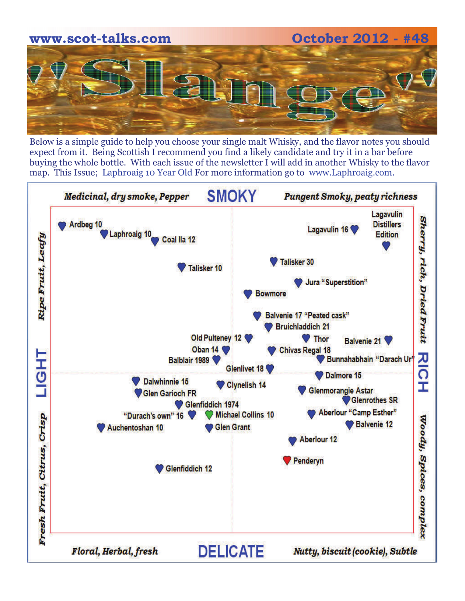

Below is a simple guide to help you choose your single malt Whisky, and the flavor notes you should expect from it. Being Scottish I recommend you find a likely candidate and try it in a bar before buying the whole bottle. With each issue of the newsletter I will add in another Whisky to the flavor map. This Issue; Laphroaig 10 Year Old For more information go to www.Laphroaig.com.